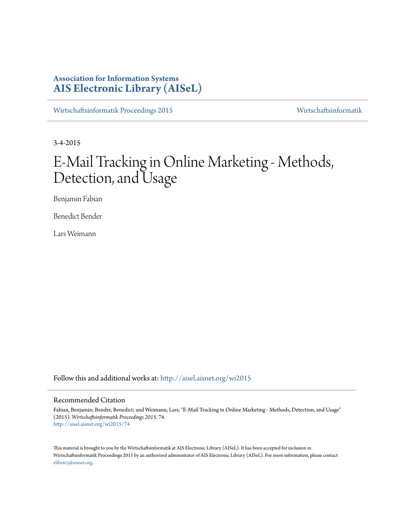# **Association for Information Systems [AIS Electronic Library \(AISeL\)](http://aisel.aisnet.org?utm_source=aisel.aisnet.org%2Fwi2015%2F74&utm_medium=PDF&utm_campaign=PDFCoverPages)**

[Wirtschaftsinformatik Proceedings 2015](http://aisel.aisnet.org/wi2015?utm_source=aisel.aisnet.org%2Fwi2015%2F74&utm_medium=PDF&utm_campaign=PDFCoverPages) [Wirtschaftsinformatik](http://aisel.aisnet.org/wi?utm_source=aisel.aisnet.org%2Fwi2015%2F74&utm_medium=PDF&utm_campaign=PDFCoverPages)

3-4-2015

# E-Mail Tracking in Online Marketing - Methods, Detection, and Usage

Benjamin Fabian

Benedict Bender

Lars Weimann

Follow this and additional works at: [http://aisel.aisnet.org/wi2015](http://aisel.aisnet.org/wi2015?utm_source=aisel.aisnet.org%2Fwi2015%2F74&utm_medium=PDF&utm_campaign=PDFCoverPages)

#### Recommended Citation

Fabian, Benjamin; Bender, Benedict; and Weimann, Lars, "E-Mail Tracking in Online Marketing - Methods, Detection, and Usage" (2015). *Wirtschaftsinformatik Proceedings 2015*. 74. [http://aisel.aisnet.org/wi2015/74](http://aisel.aisnet.org/wi2015/74?utm_source=aisel.aisnet.org%2Fwi2015%2F74&utm_medium=PDF&utm_campaign=PDFCoverPages)

This material is brought to you by the Wirtschaftsinformatik at AIS Electronic Library (AISeL). It has been accepted for inclusion in Wirtschaftsinformatik Proceedings 2015 by an authorized administrator of AIS Electronic Library (AISeL). For more information, please contact [elibrary@aisnet.org.](mailto:elibrary@aisnet.org%3E)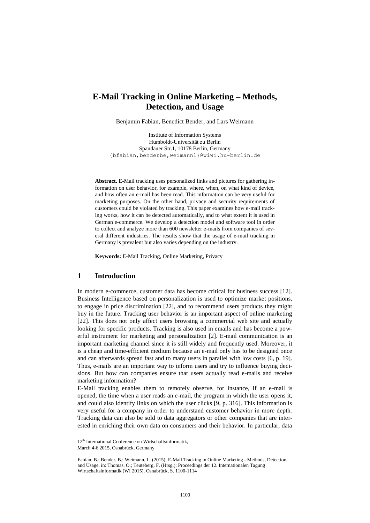# **E-Mail Tracking in Online Marketing – Methods, Detection, and Usage**

Benjamin Fabian, Benedict Bender, and Lars Weimann

Institute of Information Systems Humboldt-Universität zu Berlin Spandauer Str.1, 10178 Berlin, Germany {bfabian,benderbe,weimannl}@wiwi.hu-berlin.de

**Abstract.** E-Mail tracking uses personalized links and pictures for gathering information on user behavior, for example, where, when, on what kind of device, and how often an e-mail has been read. This information can be very useful for marketing purposes. On the other hand, privacy and security requirements of customers could be violated by tracking. This paper examines how e-mail tracking works, how it can be detected automatically, and to what extent it is used in German e-commerce. We develop a detection model and software tool in order to collect and analyze more than 600 newsletter e-mails from companies of several different industries. The results show that the usage of e-mail tracking in Germany is prevalent but also varies depending on the industry.

**Keywords:** E-Mail Tracking, Online Marketing, Privacy

#### **1 Introduction**

In modern e-commerce, customer data has become critical for business success [12]. Business Intelligence based on personalization is used to optimize market positions, to engage in price discrimination [22], and to recommend users products they might buy in the future. Tracking user behavior is an important aspect of online marketing [22]. This does not only affect users browsing a commercial web site and actually looking for specific products. Tracking is also used in emails and has become a powerful instrument for marketing and personalization [2]. E-mail communication is an important marketing channel since it is still widely and frequently used. Moreover, it is a cheap and time-efficient medium because an e-mail only has to be designed once and can afterwards spread fast and to many users in parallel with low costs [6, p. 19]. Thus, e-mails are an important way to inform users and try to influence buying decisions. But how can companies ensure that users actually read e-mails and receive marketing information?

E-Mail tracking enables them to remotely observe, for instance, if an e-mail is opened, the time when a user reads an e-mail, the program in which the user opens it, and could also identify links on which the user clicks [9, p. 316]. This information is very useful for a company in order to understand customer behavior in more depth. Tracking data can also be sold to data aggregators or other companies that are interested in enriching their own data on consumers and their behavior. In particular, data

<sup>12&</sup>lt;sup>th</sup> International Conference on Wirtschaftsinformatik,

March 4-6 2015, Osnabrück, Germany

Fabian, B.; Bender, B.; Weimann, L. (2015): E-Mail Tracking in Online Marketing - Methods, Detection, and Usage, in: Thomas. O.; Teuteberg, F. (Hrsg.): Proceedings der 12. Internationalen Tagung Wirtschaftsinformatik (WI 2015), Osnabrück, S. 1100-1114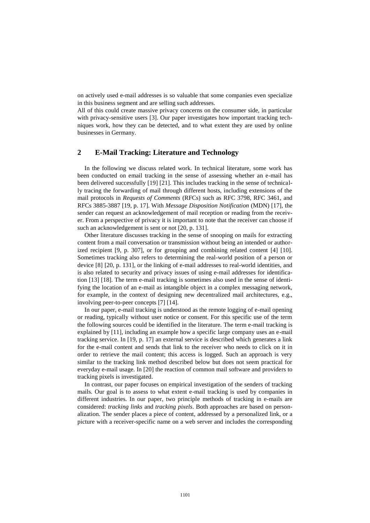on actively used e-mail addresses is so valuable that some companies even specialize in this business segment and are selling such addresses.

All of this could create massive privacy concerns on the consumer side, in particular with privacy-sensitive users [3]. Our paper investigates how important tracking techniques work, how they can be detected, and to what extent they are used by online businesses in Germany.

# **2 E-Mail Tracking: Literature and Technology**

In the following we discuss related work. In technical literature, some work has been conducted on email tracking in the sense of assessing whether an e-mail has been delivered successfully [19] [21]. This includes tracking in the sense of technically tracing the forwarding of mail through different hosts, including extensions of the mail protocols in *Requests of Comments* (RFCs) such as RFC 3798, RFC 3461, and RFCs 3885-3887 [19, p. 17]. With *Message Disposition Notification* (MDN) [17], the sender can request an acknowledgement of mail reception or reading from the receiver. From a perspective of privacy it is important to note that the receiver can choose if such an acknowledgement is sent or not [20, p. 131].

Other literature discusses tracking in the sense of snooping on mails for extracting content from a mail conversation or transmission without being an intended or authorized recipient [9, p. 307], or for grouping and combining related content [4] [10]. Sometimes tracking also refers to determining the real-world position of a person or device [8] [20, p. 131], or the linking of e-mail addresses to real-world identities, and is also related to security and privacy issues of using e-mail addresses for identification [13] [18]. The term e-mail tracking is sometimes also used in the sense of identifying the location of an e-mail as intangible object in a complex messaging network, for example, in the context of designing new decentralized mail architectures, e.g., involving peer-to-peer concepts [7] [14].

In our paper, e-mail tracking is understood as the remote logging of e-mail opening or reading, typically without user notice or consent. For this specific use of the term the following sources could be identified in the literature. The term e-mail tracking is explained by [11], including an example how a specific large company uses an e-mail tracking service. In [19, p. 17] an external service is described which generates a link for the e-mail content and sends that link to the receiver who needs to click on it in order to retrieve the mail content; this access is logged. Such an approach is very similar to the tracking link method described below but does not seem practical for everyday e-mail usage. In [20] the reaction of common mail software and providers to tracking pixels is investigated.

In contrast, our paper focuses on empirical investigation of the senders of tracking mails. Our goal is to assess to what extent e-mail tracking is used by companies in different industries. In our paper, two principle methods of tracking in e-mails are considered: *tracking links* and *tracking pixels*. Both approaches are based on personalization. The sender places a piece of content, addressed by a personalized link, or a picture with a receiver-specific name on a web server and includes the corresponding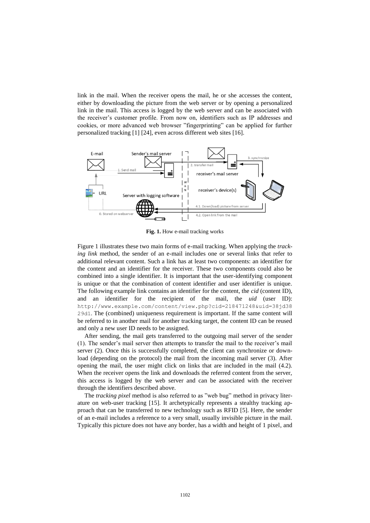link in the mail. When the receiver opens the mail, he or she accesses the content, either by downloading the picture from the web server or by opening a personalized link in the mail. This access is logged by the web server and can be associated with the receiver's customer profile. From now on, identifiers such as IP addresses and cookies, or more advanced web browser "fingerprinting" can be applied for further personalized tracking [1] [24], even across different web sites [16].



**Fig. 1.** How e-mail tracking works

Figure 1 illustrates these two main forms of e-mail tracking. When applying the *tracking link* method, the sender of an e-mail includes one or several links that refer to additional relevant content. Such a link has at least two components: an identifier for the content and an identifier for the receiver. These two components could also be combined into a single identifier. It is important that the user-identifying component is unique or that the combination of content identifier and user identifier is unique. The following example link contains an identifier for the content, the *cid* (content ID), and an identifier for the recipient of the mail, the *uid* (user ID): [http://www.example.com/content/view.php?cid=218471248&uid=38jd38](http://www.example.com/content/view.php?cid=218471248&uid=38jd3829d1) [29d1](http://www.example.com/content/view.php?cid=218471248&uid=38jd3829d1). The (combined) uniqueness requirement is important. If the same content will be referred to in another mail for another tracking target, the content ID can be reused and only a new user ID needs to be assigned.

After sending, the mail gets transferred to the outgoing mail server of the sender (1). The sender's mail server then attempts to transfer the mail to the receiver's mail server (2). Once this is successfully completed, the client can synchronize or download (depending on the protocol) the mail from the incoming mail server (3). After opening the mail, the user might click on links that are included in the mail (4.2). When the receiver opens the link and downloads the referred content from the server, this access is logged by the web server and can be associated with the receiver through the identifiers described above.

The *tracking pixel* method is also referred to as "web bug" method in privacy literature on web-user tracking [15]. It archetypically represents a stealthy tracking approach that can be transferred to new technology such as RFID [5]. Here, the sender of an e-mail includes a reference to a very small, usually invisible picture in the mail. Typically this picture does not have any border, has a width and height of 1 pixel, and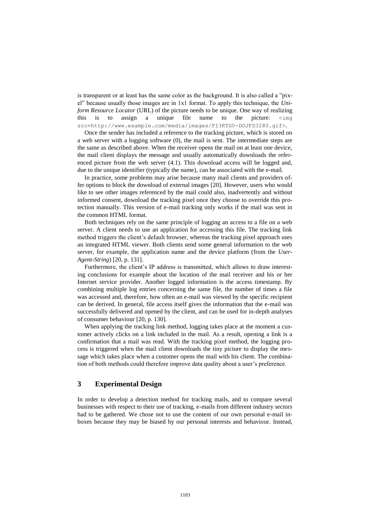is transparent or at least has the same color as the background. It is also called a "pixel" because usually those images are in 1x1 format. To apply this technique, the *Uniform Resource Locator* (URL) of the picture needs to be unique. One way of realizing this is to assign a unique file name to the picture:  $\langle \text{img} \rangle$ src=http://www.example.com/media/images/FI3RTG0-DOJFD3280.gif>.

Once the sender has included a reference to the tracking picture, which is stored on a web server with a logging software (0), the mail is sent. The intermediate steps are the same as described above. When the receiver opens the mail on at least one device, the mail client displays the message and usually automatically downloads the referenced picture from the web server (4.1). This download access will be logged and, due to the unique identifier (typically the name), can be associated with the e-mail.

In practice, some problems may arise because many mail clients and providers offer options to block the download of external images [20]. However, users who would like to see other images referenced by the mail could also, inadvertently and without informed consent, download the tracking pixel once they choose to override this protection manually. This version of e-mail tracking only works if the mail was sent in the common HTML format.

Both techniques rely on the same principle of logging an access to a file on a web server. A client needs to use an application for accessing this file. The tracking link method triggers the client's default browser, whereas the tracking pixel approach uses an integrated HTML viewer. Both clients send some general information to the web server, for example, the application name and the device platform (from the *User-Agent-String*) [20, p. 131].

Furthermore, the client's IP address is transmitted, which allows to draw interesting conclusions for example about the location of the mail receiver and his or her Internet service provider. Another logged information is the access timestamp. By combining multiple log entries concerning the same file, the number of times a file was accessed and, therefore, how often an e-mail was viewed by the specific recipient can be derived. In general, file access itself gives the information that the e-mail was successfully delivered and opened by the client, and can be used for in-depth analyses of consumer behaviour [20, p. 130].

When applying the tracking link method, logging takes place at the moment a customer actively clicks on a link included in the mail. As a result, opening a link is a confirmation that a mail was read. With the tracking pixel method, the logging process is triggered when the mail client downloads the tiny picture to display the message which takes place when a customer opens the mail with his client. The combination of both methods could therefore improve data quality about a user's preference.

# **3 Experimental Design**

In order to develop a detection method for tracking mails, and to compare several businesses with respect to their use of tracking, e-mails from different industry sectors had to be gathered. We chose not to use the content of our own personal e-mail inboxes because they may be biased by our personal interests and behaviour. Instead,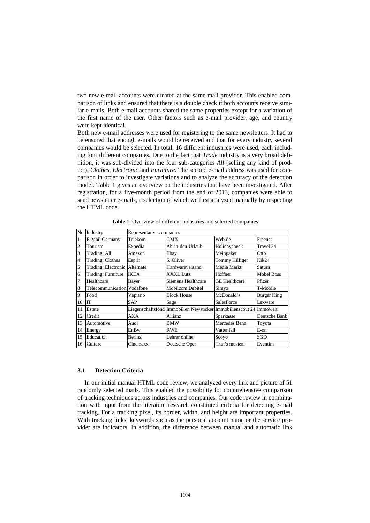two new e-mail accounts were created at the same mail provider. This enabled comparison of links and ensured that there is a double check if both accounts receive similar e-mails. Both e-mail accounts shared the same properties except for a variation of the first name of the user. Other factors such as e-mail provider, age, and country were kept identical.

Both new e-mail addresses were used for registering to the same newsletters. It had to be ensured that enough e-mails would be received and that for every industry several companies would be selected. In total, 16 different industries were used, each including four different companies. Due to the fact that *Trade* industry is a very broad definition, it was sub-divided into the four sub-categories *All* (selling any kind of product), *Clothes, Electronic* and *Furniture*. The second e-mail address was used for comparison in order to investigate variations and to analyze the accuracy of the detection model. Table 1 gives an overview on the industries that have been investigated. After registration, for a five-month period from the end of 2013, companies were able to send newsletter e-mails, a selection of which we first analyzed manually by inspecting the HTML code.

|                | No. Industry                  | Representative companies |                                                                     |                      |                    |
|----------------|-------------------------------|--------------------------|---------------------------------------------------------------------|----------------------|--------------------|
|                | E-Mail Germany                | Telekom                  | <b>GMX</b>                                                          | Web.de               | Freenet            |
| 2              | Tourism                       | Expedia                  | Ab-in-den-Urlaub                                                    | Holidaycheck         | Travel 24          |
| 3              | Trading: All                  | Amazon                   | Ebay                                                                | Meinpaket            | Otto               |
| $\overline{4}$ | <b>Trading: Clothes</b>       | Esprit                   | S. Oliver                                                           | Tommy Hilfiger       | Kik24              |
| 5              | Trading: Electronic Alternate |                          | Hardwareversand                                                     | Media Markt          | Saturn             |
| 6              | Trading: Furniture            | <b>IKEA</b>              | XXXL Lutz                                                           | Höffner              | Möbel Boss         |
| 7              | Healthcare                    | Bayer                    | Siemens Healthcare                                                  | <b>GE</b> Healthcare | Pfizer             |
| 8              | Telecommunication Vodafone    |                          | Mobilcom Debitel                                                    | Simyo                | T-Mobile           |
| 9              | Food                          | Vapiano                  | <b>Block House</b>                                                  | McDonald's           | <b>Burger King</b> |
| 10             | <b>IT</b>                     | <b>SAP</b>               | Sage                                                                | <b>SalesForce</b>    | Lexware            |
| 11             | Estate                        |                          | Liegenschaftsfond Immobilien Newsticker Immobilienscout 24 Immowelt |                      |                    |
| 12             | Credit                        | AXA                      | <b>Allianz</b>                                                      | Sparkasse            | Deutsche Bank      |
| 13             | Automotive                    | Audi                     | <b>BMW</b>                                                          | Mercedes Benz        | Toyota             |
| 14             | Energy                        | EnBw                     | <b>RWE</b>                                                          | Vattenfall           | E-on               |
| 15             | Education                     | <b>Berlitz</b>           | Lehrer online                                                       | Scoyo                | SGD                |
| 16             | Culture                       | Cinemaxx                 | Deutsche Oper                                                       | That's musical       | Eventim            |

**Table 1.** Overview of different industries and selected companies

#### **3.1 Detection Criteria**

In our initial manual HTML code review, we analyzed every link and picture of 51 randomly selected mails. This enabled the possibility for comprehensive comparison of tracking techniques across industries and companies. Our code review in combination with input from the literature research constituted criteria for detecting e-mail tracking. For a tracking pixel, its border, width, and height are important properties. With tracking links, keywords such as the personal account name or the service provider are indicators. In addition, the difference between manual and automatic link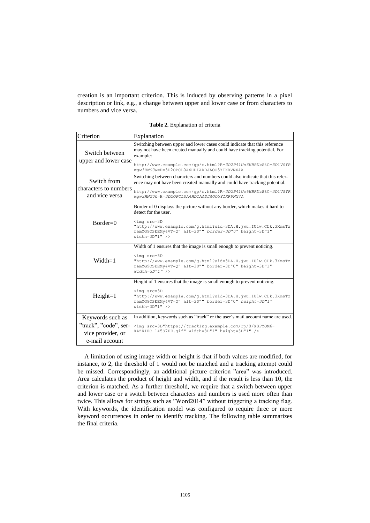creation is an important criterion. This is induced by observing patterns in a pixel description or link, e.g., a change between upper and lower case or from characters to numbers and vice versa.

| Criterion                                                                        | Explanation                                                                                                                                                                                                                                                                       |
|----------------------------------------------------------------------------------|-----------------------------------------------------------------------------------------------------------------------------------------------------------------------------------------------------------------------------------------------------------------------------------|
| Switch between<br>upper and lower case                                           | Switching between upper and lower cases could indicate that this reference<br>may not have been created manually and could have tracking potential. For<br>example:<br>http://www.example.com/qp/r.html?R=3D2P41Uo6HBRUzB&C=3D1VSYR<br>mgw3HNG0&=H=3D2OPCL0A4HDIAADJAOO5YIXRVNX4A |
| Switch from<br>characters to numbers<br>and vice versa                           | Switching between characters and numbers could also indicate that this refer-<br>ence may not have been created manually and could have tracking potential.<br>http://www.example.com/gp/r.html?R=3D2P41Uo6HBRUzB&C=3D1VSYR<br>mqw3HNG0&=H=3D2OPCL0A4HDIAADJAOO5YIXRVNX4A         |
| $Border=0$                                                                       | Border of 0 displays the picture without any border, which makes it hard to<br>detect for the user.<br>$\langle$ imq src=3D<br>"http://www.example.com/q.html?uid=3DA.H.jwu.IU1w.CLk.3XmsTz<br>remYG90SEEMy4VT=Q" alt=3D"" border=3D"0" height=3D"1"<br>$width=3D"1"$ />          |
| $Width=1$                                                                        | Width of 1 ensures that the image is small enough to prevent noticing.<br>$\frac{\sin\theta}{\sin\theta}$ src=3D<br>"http://www.example.com/q.html?uid=3DA.H.jwu.IU1w.CLk.3XmsTz<br>remYG90SEEMy4VT=0" alt=3D"" border=3D"0" height=3D"1"<br>$width=3D''1''$ />                   |
| $Height=1$                                                                       | Height of 1 ensures that the image is small enough to prevent noticing.<br>$\langle$ imq src=3D<br>"http://www.example.com/g.html?uid=3DA.H.jwu.IU1w.CLk.3XmsTz<br>remYG9OSEEMy4VT=Q" alt=3D"" border=3D"0" height=3D"1"<br>$width=3D"1"$ />                                      |
| Keywords such as<br>"track", "code", ser-<br>vice provider, or<br>e-mail account | In addition, keywords such as "track" or the user's mail account name are used.<br><img src='3D"https://tracking.example.com/op/0/XSPYOM6-&lt;br'/> XAZKIEC-145S7FE.qif" width=3D"1" height=3D"1" />                                                                              |

**Table 2.** Explanation of criteria

A limitation of using image width or height is that if both values are modified, for instance, to 2, the threshold of 1 would not be matched and a tracking attempt could be missed. Correspondingly, an additional picture criterion "area" was introduced. Area calculates the product of height and width, and if the result is less than 10, the criterion is matched. As a further threshold, we require that a switch between upper and lower case or a switch between characters and numbers is used more often than twice. This allows for strings such as "Word2014" without triggering a tracking flag. With keywords, the identification model was configured to require three or more keyword occurrences in order to identify tracking. The following table summarizes the final criteria.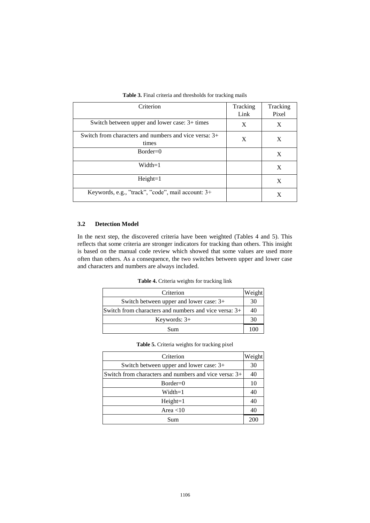| Criterion                                               | Tracking | Tracking |
|---------------------------------------------------------|----------|----------|
|                                                         | Link     | Pixel    |
| Switch between upper and lower case: 3+ times           | X        | X        |
| Switch from characters and numbers and vice versa: $3+$ | X        | X        |
| times                                                   |          |          |
| $Border=0$                                              |          | X        |
| $Width=1$                                               |          | X        |
| $Height=1$                                              |          | X        |
| Keywords, e.g., "track", "code", mail account: 3+       |          | Х        |

| <b>Table 3.</b> Final criteria and thresholds for tracking mails |  |  |  |  |  |
|------------------------------------------------------------------|--|--|--|--|--|
|------------------------------------------------------------------|--|--|--|--|--|

#### **3.2 Detection Model**

In the next step, the discovered criteria have been weighted (Tables 4 and 5). This reflects that some criteria are stronger indicators for tracking than others. This insight is based on the manual code review which showed that some values are used more often than others. As a consequence, the two switches between upper and lower case and characters and numbers are always included.

**Table 4.** Criteria weights for tracking link

| Criterion                                             |    |  |
|-------------------------------------------------------|----|--|
| Switch between upper and lower case: 3+               | 30 |  |
| Switch from characters and numbers and vice versa: 3+ |    |  |
| Keywords: $3+$                                        |    |  |
| Sum                                                   |    |  |

| Criterion                                             | Weight |
|-------------------------------------------------------|--------|
|                                                       |        |
| Switch between upper and lower case: 3+               | 30     |
| Switch from characters and numbers and vice versa: 3+ | 40     |
| $Border=0$                                            |        |
| Width=1                                               | 40     |
| $Height=1$                                            | 40     |
| Area $<$ 10                                           | 40     |
| Sum                                                   | 200    |

| Table 5. Criteria weights for tracking pixel |  |  |  |
|----------------------------------------------|--|--|--|
|                                              |  |  |  |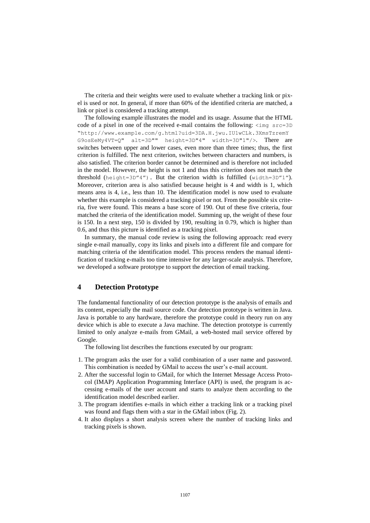The criteria and their weights were used to evaluate whether a tracking link or pixel is used or not. In general, if more than 60% of the identified criteria are matched, a link or pixel is considered a tracking attempt.

The following example illustrates the model and its usage. Assume that the HTML code of a pixel in one of the received e-mail contains the following:  $\langle \text{img } \text{src=3D} \rangle$ "<http://www.example.com/g.html?uid=3DA.H.jwu.IU1wCLk.3XmsTzremY> G9osEeMy4VT=Q" alt=3D"" height=3D"4" width=3D"1"/>. There are switches between upper and lower cases, even more than three times; thus, the first criterion is fulfilled. The next criterion, switches between characters and numbers, is also satisfied. The criterion border cannot be determined and is therefore not included in the model. However, the height is not 1 and thus this criterion does not match the threshold (height=3D"4"). But the criterion width is fulfilled (width=3D"1"). Moreover, criterion area is also satisfied because height is 4 and width is 1, which means area is 4, i.e., less than 10. The identification model is now used to evaluate whether this example is considered a tracking pixel or not. From the possible six criteria, five were found. This means a base score of 190. Out of these five criteria, four matched the criteria of the identification model. Summing up, the weight of these four is 150. In a next step, 150 is divided by 190, resulting in 0.79, which is higher than 0.6, and thus this picture is identified as a tracking pixel.

In summary, the manual code review is using the following approach: read every single e-mail manually, copy its links and pixels into a different file and compare for matching criteria of the identification model. This process renders the manual identification of tracking e-mails too time intensive for any larger-scale analysis. Therefore, we developed a software prototype to support the detection of email tracking.

## **4 Detection Prototype**

The fundamental functionality of our detection prototype is the analysis of emails and its content, especially the mail source code. Our detection prototype is written in Java. Java is portable to any hardware, therefore the prototype could in theory run on any device which is able to execute a Java machine. The detection prototype is currently limited to only analyze e-mails from GMail, a web-hosted mail service offered by Google.

The following list describes the functions executed by our program:

- 1. The program asks the user for a valid combination of a user name and password. This combination is needed by GMail to access the user's e-mail account.
- 2. After the successful login to GMail, for which the Internet Message Access Protocol (IMAP) Application Programming Interface (API) is used, the program is accessing e-mails of the user account and starts to analyze them according to the identification model described earlier.
- 3. The program identifies e-mails in which either a tracking link or a tracking pixel was found and flags them with a star in the GMail inbox (Fig. 2).
- 4. It also displays a short analysis screen where the number of tracking links and tracking pixels is shown.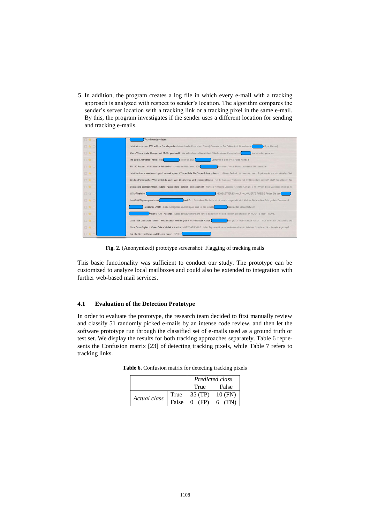5. In addition, the program creates a log file in which every e-mail with a tracking approach is analyzed with respect to sender's location. The algorithm compares the sender's server location with a tracking link or a tracking pixel in the same e-mail. By this, the program investigates if the sender uses a different location for sending and tracking e-mails.

|            | Technikwunder erleben                                                                                                                                                   |
|------------|-------------------------------------------------------------------------------------------------------------------------------------------------------------------------|
| 日食口        | Sprachkurse  <br>Jetzt mitsprechen: 10% auf Ihre Fremdsprache - Interkulturelle Kompetenz China   Gewinnspiel Zur Online-Ansicht wechseln.                              |
| 日會口        | Sie möchten gerne die<br>Diese Woche letzte Gelegenheit: MwSt. geschenkt - Sie sehen keinen Newsletter? Aktuelle Aktion Sehr geehrter                                   |
| 口食口        | Tablet für €199.<br>Irre Spiele, verrückte Preise! - Das<br>Computer & Büro TV & Audio Handy &                                                                          |
| □☆□        | Bis -50 Prozent: Mittelmeer für Frühbucher - Urlaub am Mittelmeer -50%<br>Facebook Twitter Home Lastminute Urlaubsreisen                                                |
| □★□        | Jetzt Neukunde werden und gleich doppelt sparen // Super-Sale: Die Super-Schnäppchen si.,. - Mode, Technik, Wohnen und mehr: Top-Auswahl aus der aktuellen Sais         |
| □☆□        | Geld und Verbraucher: Was kostet die Welt, Was 2014 besser wird, Lippenstift-Index - Hat Ihr Computer Probleme mit der Darstellung dieser E-Mail? Dann klicken Sie      |
| 日食口        | Beatsteaks bei Rock'n'Heim   Adoro   Apassionata - schnell Tickets sichern! - Marteria + Imagine Dragons + Johann König u. v. m.   Wenn diese Mail unleserlich ist, kli |
| <b>回☆口</b> | NEWSLETTER EISKALT KALKULIERTE PREISE Finden Sie den<br>WSV-Finale bei                                                                                                  |
| □☆□        | Ihre OHA! Tagesangebote von<br>und Co. - Falls diese Nachricht nicht korrekt dargestellt wird, klicken Sie bitte hier Sehr geehrte Damen und                            |
| 口食口        | Newsletter 5/2014 - Liebe Kolleginnen und Kollegen, dies ist der aktuelle<br>Newsletter, Jeden Mittwoch                                                                 |
| 日食口        | Fiver 5. KW - Haushalt - Sollte der Newsletter nicht korrekt dargestellt werden, klicken Sie bitte hier. PRODUKTE MEIN PROFIL                                           |
| 国會口        | Jetzt 100€ Gutschein sichern - Heute starten wird die große Techniktausch-Aktion<br>die große Techniktausch-Aktion - jetzt bis 01.02. Gutscheine sich                   |
| □★□        | Neue Basic-Styles    Winter Sale - Vielfalt entdecken! - NEW ARRIVALS - jeden Tag neue Styles - Neuheiten shoppen Wird der Newsletter nicht korrekt angezeigt?          |
| 回會口        | Für alle Beef-Liebhaber und Chicken-Fans! - HALLO                                                                                                                       |

**Fig. 2.** (Anonymized) prototype screenshot: Flagging of tracking mails

This basic functionality was sufficient to conduct our study. The prototype can be customized to analyze local mailboxes and could also be extended to integration with further web-based mail services.

#### **4.1 Evaluation of the Detection Prototype**

In order to evaluate the prototype, the research team decided to first manually review and classify 51 randomly picked e-mails by an intense code review, and then let the software prototype run through the classified set of e-mails used as a ground truth or test set. We display the results for both tracking approaches separately. Table 6 represents the Confusion matrix [23] of detecting tracking pixels, while Table 7 refers to tracking links.

|              |       | Predicted class |         |  |
|--------------|-------|-----------------|---------|--|
|              |       | True            | False   |  |
| Actual class | True  | $\vert$ 35 (TP) | 10 (FN) |  |
|              | False |                 |         |  |

**Table 6.** Confusion matrix for detecting tracking pixels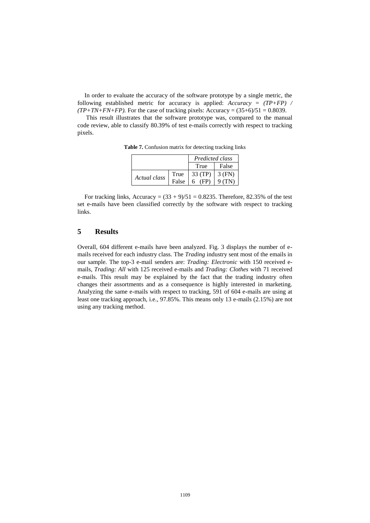In order to evaluate the accuracy of the software prototype by a single metric, the following established metric for accuracy is applied: *Accuracy* = *(TP+FP) /*   $(TP+TN+FN+FP)$ . For the case of tracking pixels: Accuracy =  $(35+6)/51 = 0.8039$ .

This result illustrates that the software prototype was, compared to the manual code review, able to classify 80.39% of test e-mails correctly with respect to tracking pixels.

|              |       | Predicted class |        |  |
|--------------|-------|-----------------|--------|--|
|              |       | True            | False  |  |
| Actual class | True  | 33 (TP)         | 3 (FN) |  |
|              | False | $6$ (FP)        | 9(TN)  |  |

**Table 7.** Confusion matrix for detecting tracking links

For tracking links, Accuracy =  $(33 + 9)/51 = 0.8235$ . Therefore, 82.35% of the test set e-mails have been classified correctly by the software with respect to tracking links.

### **5 Results**

Overall, 604 different e-mails have been analyzed. Fig. 3 displays the number of emails received for each industry class. The *Trading* industry sent most of the emails in our sample. The top-3 e-mail senders are: *Trading: Electronic* with 150 received emails, *Trading: All* with 125 received e-mails and *Trading: Clothes* with 71 received e-mails. This result may be explained by the fact that the trading industry often changes their assortments and as a consequence is highly interested in marketing. Analyzing the same e-mails with respect to tracking, 591 of 604 e-mails are using at least one tracking approach, i.e., 97.85%. This means only 13 e-mails (2.15%) are not using any tracking method.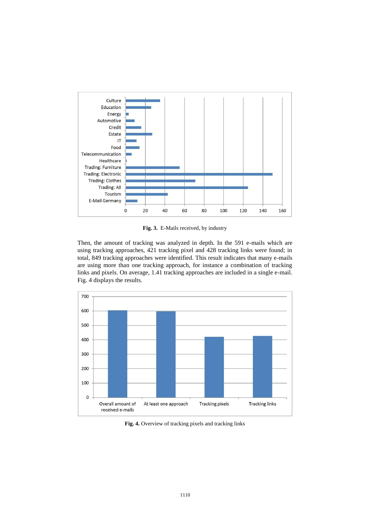

**Fig. 3.** E-Mails received, by industry

Then, the amount of tracking was analyzed in depth. In the 591 e-mails which are using tracking approaches, 421 tracking pixel and 428 tracking links were found; in total, 849 tracking approaches were identified. This result indicates that many e-mails are using more than one tracking approach, for instance a combination of tracking links and pixels. On average, 1.41 tracking approaches are included in a single e-mail. Fig. 4 displays the results.



**Fig. 4.** Overview of tracking pixels and tracking links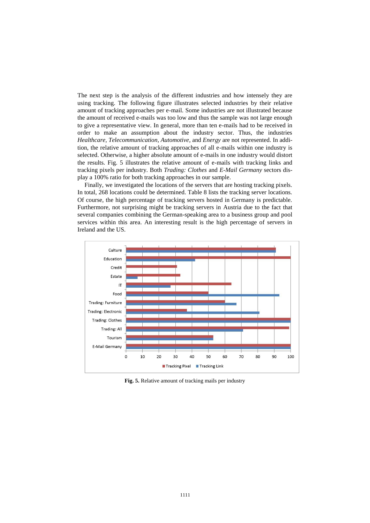The next step is the analysis of the different industries and how intensely they are using tracking. The following figure illustrates selected industries by their relative amount of tracking approaches per e-mail. Some industries are not illustrated because the amount of received e-mails was too low and thus the sample was not large enough to give a representative view. In general, more than ten e-mails had to be received in order to make an assumption about the industry sector. Thus, the industries *Healthcare, Telecommunication, Automotive*, and *Energy* are not represented. In addition, the relative amount of tracking approaches of all e-mails within one industry is selected. Otherwise, a higher absolute amount of e-mails in one industry would distort the results. Fig. 5 illustrates the relative amount of e-mails with tracking links and tracking pixels per industry. Both *Trading: Clothes* and *E-Mail Germany* sectors display a 100% ratio for both tracking approaches in our sample.

Finally, we investigated the locations of the servers that are hosting tracking pixels. In total, 268 locations could be determined. Table 8 lists the tracking server locations. Of course, the high percentage of tracking servers hosted in Germany is predictable. Furthermore, not surprising might be tracking servers in Austria due to the fact that several companies combining the German-speaking area to a business group and pool services within this area. An interesting result is the high percentage of servers in Ireland and the US.



**Fig. 5.** Relative amount of tracking mails per industry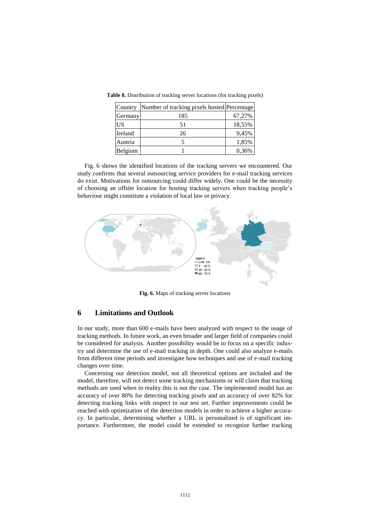| Country   | Number of tracking pixels hosted Percentage |        |
|-----------|---------------------------------------------|--------|
| Germany   | 185                                         | 67,27% |
| <b>US</b> | 51                                          | 18,55% |
| Ireland   | 26                                          | 9,45%  |
| Austria   |                                             | 1,85%  |
| Belgium   |                                             | 0,36%  |

**Table 8.** Distribution of tracking server locations (for tracking pixels)

Fig. 6 shows the identified locations of the tracking servers we encountered. Our study confirms that several outsourcing service providers for e-mail tracking services do exist. Motivations for outsourcing could differ widely. One could be the necessity of choosing an offsite location for hosting tracking servers when tracking people's behaviour might constitute a violation of local law or privacy.



**Fig. 6.** Maps of tracking server locations

## **6 Limitations and Outlook**

In our study, more than 600 e-mails have been analyzed with respect to the usage of tracking methods. In future work, an even broader and larger field of companies could be considered for analysis. Another possibility would be to focus on a specific industry and determine the use of e-mail tracking in depth. One could also analyze e-mails from different time periods and investigate how techniques and use of e-mail tracking changes over time.

Concerning our detection model, not all theoretical options are included and the model, therefore, will not detect some tracking mechanisms or will claim that tracking methods are used when in reality this is not the case. The implemented model has an accuracy of over 80% for detecting tracking pixels and an accuracy of over 82% for detecting tracking links with respect to our test set. Further improvements could be reached with optimization of the detection models in order to achieve a higher accuracy. In particular, determining whether a URL is personalized is of significant importance. Furthermore, the model could be extended to recognize further tracking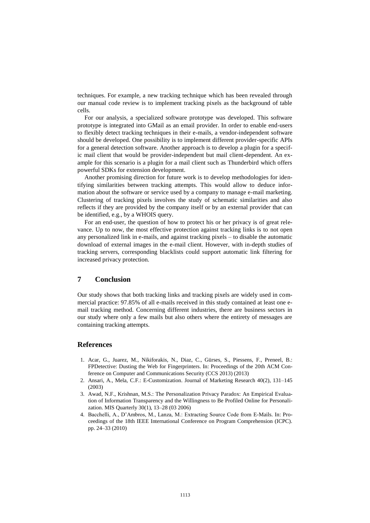techniques. For example, a new tracking technique which has been revealed through our manual code review is to implement tracking pixels as the background of table cells.

For our analysis, a specialized software prototype was developed. This software prototype is integrated into GMail as an email provider. In order to enable end-users to flexibly detect tracking techniques in their e-mails, a vendor-independent software should be developed. One possibility is to implement different provider-specific APIs for a general detection software. Another approach is to develop a plugin for a specific mail client that would be provider-independent but mail client-dependent. An example for this scenario is a plugin for a mail client such as Thunderbird which offers powerful SDKs for extension development.

Another promising direction for future work is to develop methodologies for identifying similarities between tracking attempts. This would allow to deduce information about the software or service used by a company to manage e-mail marketing. Clustering of tracking pixels involves the study of schematic similarities and also reflects if they are provided by the company itself or by an external provider that can be identified, e.g., by a WHOIS query.

For an end-user, the question of how to protect his or her privacy is of great relevance. Up to now, the most effective protection against tracking links is to not open any personalized link in e-mails, and against tracking pixels – to disable the automatic download of external images in the e-mail client. However, with in-depth studies of tracking servers, corresponding blacklists could support automatic link filtering for increased privacy protection.

#### **7 Conclusion**

Our study shows that both tracking links and tracking pixels are widely used in commercial practice: 97.85% of all e-mails received in this study contained at least one email tracking method. Concerning different industries, there are business sectors in our study where only a few mails but also others where the entirety of messages are containing tracking attempts.

#### **References**

- 1. Acar, G., Juarez, M., Nikiforakis, N., Diaz, C., Gürses, S., Piessens, F., Preneel, B.: FPDetective: Dusting the Web for Fingerprinters. In: Proceedings of the 20th ACM Conference on Computer and Communications Security (CCS 2013) (2013)
- 2. Ansari, A., Mela, C.F.: E-Customization. Journal of Marketing Research 40(2), 131–145 (2003)
- 3. Awad, N.F., Krishnan, M.S.: The Personalization Privacy Paradox: An Empirical Evaluation of Information Transparency and the Willingness to Be Profiled Online for Personalization. MIS Quarterly 30(1), 13–28 (03 2006)
- 4. Bacchelli, A., D'Ambros, M., Lanza, M.: Extracting Source Code from E-Mails. In: Proceedings of the 18th IEEE International Conference on Program Comprehension (ICPC). pp. 24–33 (2010)